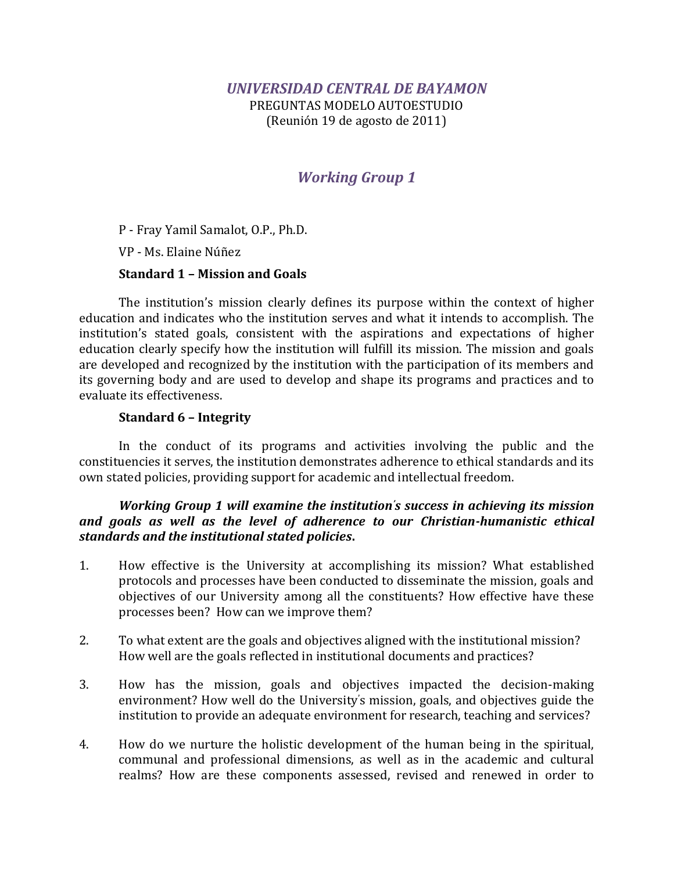PREGUNTAS MODELO AUTOESTUDIO (Reunión 19 de agosto de 2011)

# *Working Group 1*

P - Fray Yamil Samalot, O.P., Ph.D.

VP - Ms. Elaine Núñez

## **Standard 1 – Mission and Goals**

The institution's mission clearly defines its purpose within the context of higher education and indicates who the institution serves and what it intends to accomplish. The institution's stated goals, consistent with the aspirations and expectations of higher education clearly specify how the institution will fulfill its mission. The mission and goals are developed and recognized by the institution with the participation of its members and its governing body and are used to develop and shape its programs and practices and to evaluate its effectiveness.

### **Standard 6 – Integrity**

In the conduct of its programs and activities involving the public and the constituencies it serves, the institution demonstrates adherence to ethical standards and its own stated policies, providing support for academic and intellectual freedom.

### *Working Group 1 will examine the institution's success in achieving its mission and goals as well as the level of adherence to our Christian-humanistic ethical standards and the institutional stated policies***.**

- 1. How effective is the University at accomplishing its mission? What established protocols and processes have been conducted to disseminate the mission, goals and objectives of our University among all the constituents? How effective have these processes been? How can we improve them?
- 2. To what extent are the goals and objectives aligned with the institutional mission? How well are the goals reflected in institutional documents and practices?
- 3. How has the mission, goals and objectives impacted the decision-making environment? How well do the University's mission, goals, and objectives guide the institution to provide an adequate environment for research, teaching and services?
- 4. How do we nurture the holistic development of the human being in the spiritual, communal and professional dimensions, as well as in the academic and cultural realms? How are these components assessed, revised and renewed in order to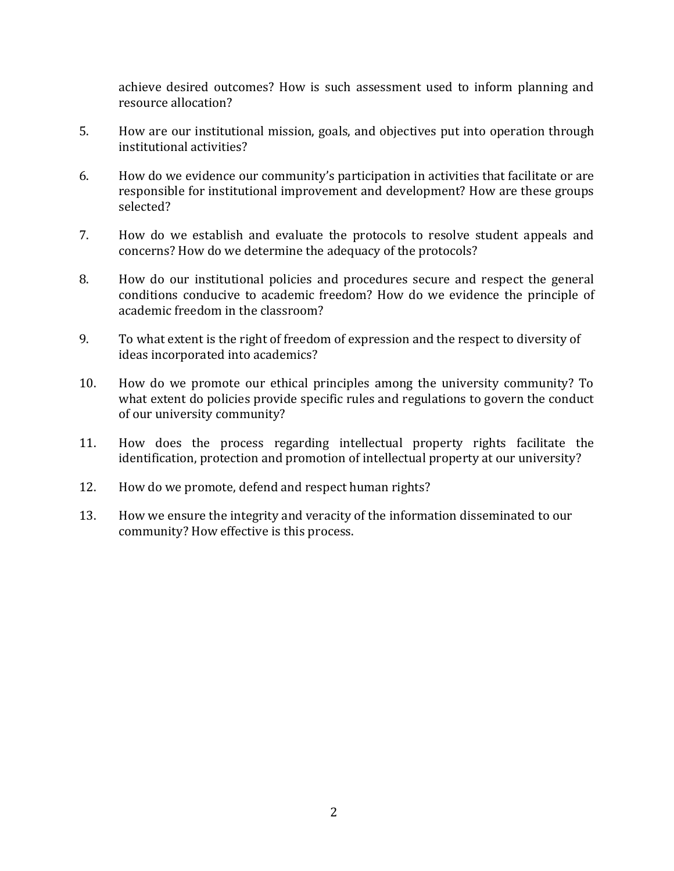achieve desired outcomes? How is such assessment used to inform planning and resource allocation?

- 5. How are our institutional mission, goals, and objectives put into operation through institutional activities?
- 6. How do we evidence our community's participation in activities that facilitate or are responsible for institutional improvement and development? How are these groups selected?
- 7. How do we establish and evaluate the protocols to resolve student appeals and concerns? How do we determine the adequacy of the protocols?
- 8. How do our institutional policies and procedures secure and respect the general conditions conducive to academic freedom? How do we evidence the principle of academic freedom in the classroom?
- 9. To what extent is the right of freedom of expression and the respect to diversity of ideas incorporated into academics?
- 10. How do we promote our ethical principles among the university community? To what extent do policies provide specific rules and regulations to govern the conduct of our university community?
- 11. How does the process regarding intellectual property rights facilitate the identification, protection and promotion of intellectual property at our university?
- 12. How do we promote, defend and respect human rights?
- 13. How we ensure the integrity and veracity of the information disseminated to our community? How effective is this process.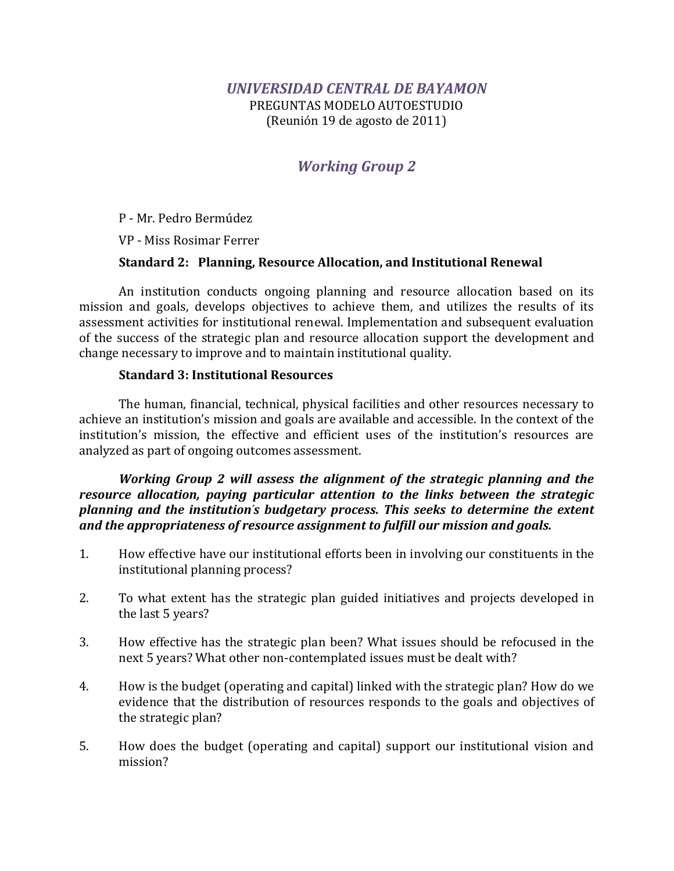PREGUNTAS MODELO AUTOESTUDIO (Reunión 19 de agosto de 2011)

# *Working Group 2*

P - Mr. Pedro Bermúdez

VP - Miss Rosimar Ferrer

## **Standard 2: Planning, Resource Allocation, and Institutional Renewal**

An institution conducts ongoing planning and resource allocation based on its mission and goals, develops objectives to achieve them, and utilizes the results of its assessment activities for institutional renewal. Implementation and subsequent evaluation of the success of the strategic plan and resource allocation support the development and change necessary to improve and to maintain institutional quality.

## **Standard 3: Institutional Resources**

The human, financial, technical, physical facilities and other resources necessary to achieve an institution's mission and goals are available and accessible. In the context of the institution's mission, the effective and efficient uses of the institution's resources are analyzed as part of ongoing outcomes assessment.

*Working Group 2 will assess the alignment of the strategic planning and the resource allocation, paying particular attention to the links between the strategic planning and the institution's budgetary process. This seeks to determine the extent and the appropriateness of resource assignment to fulfill our mission and goals.*

- 1. How effective have our institutional efforts been in involving our constituents in the institutional planning process?
- 2. To what extent has the strategic plan guided initiatives and projects developed in the last 5 years?
- 3. How effective has the strategic plan been? What issues should be refocused in the next 5 years? What other non-contemplated issues must be dealt with?
- 4. How is the budget (operating and capital) linked with the strategic plan? How do we evidence that the distribution of resources responds to the goals and objectives of the strategic plan?
- 5. How does the budget (operating and capital) support our institutional vision and mission?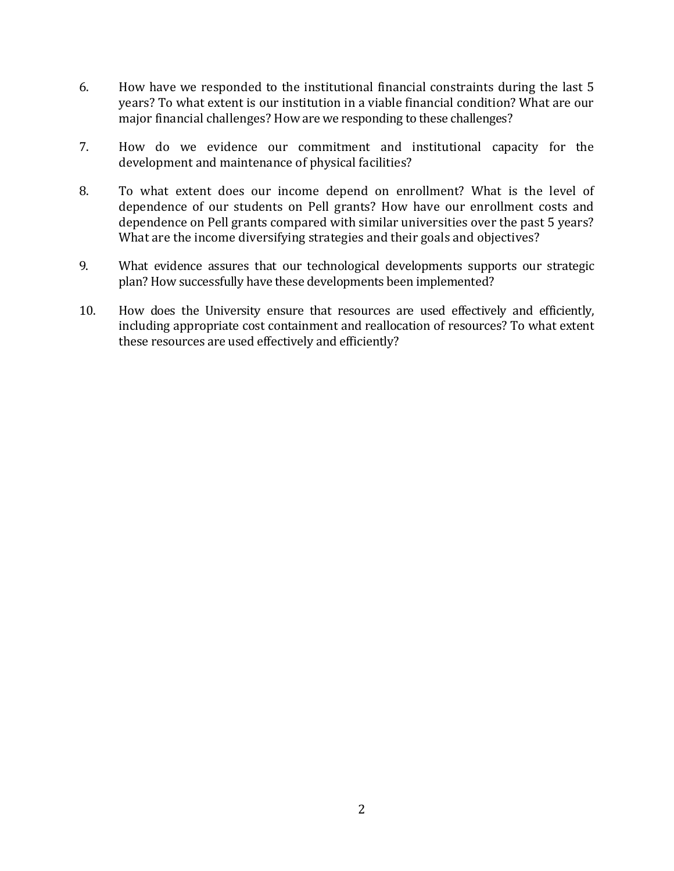- 6. How have we responded to the institutional financial constraints during the last 5 years? To what extent is our institution in a viable financial condition? What are our major financial challenges? How are we responding to these challenges?
- 7. How do we evidence our commitment and institutional capacity for the development and maintenance of physical facilities?
- 8. To what extent does our income depend on enrollment? What is the level of dependence of our students on Pell grants? How have our enrollment costs and dependence on Pell grants compared with similar universities over the past 5 years? What are the income diversifying strategies and their goals and objectives?
- 9. What evidence assures that our technological developments supports our strategic plan? How successfully have these developments been implemented?
- 10. How does the University ensure that resources are used effectively and efficiently, including appropriate cost containment and reallocation of resources? To what extent these resources are used effectively and efficiently?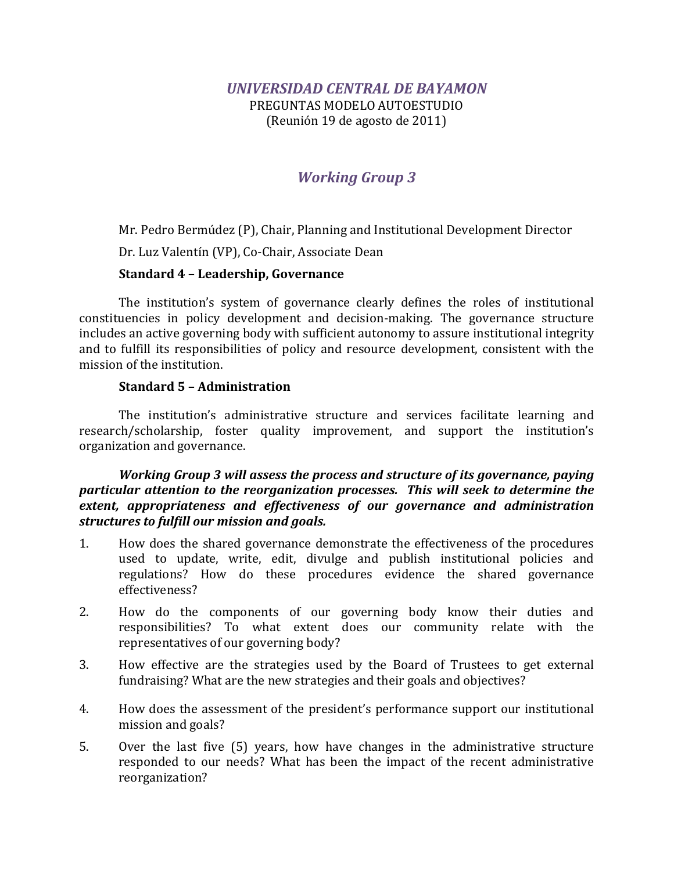PREGUNTAS MODELO AUTOESTUDIO (Reunión 19 de agosto de 2011)

# *Working Group 3*

Mr. Pedro Bermúdez (P), Chair, Planning and Institutional Development Director

Dr. Luz Valentín (VP), Co-Chair, Associate Dean

## **Standard 4 – Leadership, Governance**

The institution's system of governance clearly defines the roles of institutional constituencies in policy development and decision-making. The governance structure includes an active governing body with sufficient autonomy to assure institutional integrity and to fulfill its responsibilities of policy and resource development, consistent with the mission of the institution.

### **Standard 5 – Administration**

The institution's administrative structure and services facilitate learning and research/scholarship, foster quality improvement, and support the institution's organization and governance.

### *Working Group 3 will assess the process and structure of its governance, paying particular attention to the reorganization processes. This will seek to determine the extent, appropriateness and effectiveness of our governance and administration structures to fulfill our mission and goals.*

- 1. How does the shared governance demonstrate the effectiveness of the procedures used to update, write, edit, divulge and publish institutional policies and regulations? How do these procedures evidence the shared governance effectiveness?
- 2. How do the components of our governing body know their duties and responsibilities? To what extent does our community relate with the representatives of our governing body?
- 3. How effective are the strategies used by the Board of Trustees to get external fundraising? What are the new strategies and their goals and objectives?
- 4. How does the assessment of the president's performance support our institutional mission and goals?
- 5. Over the last five (5) years, how have changes in the administrative structure responded to our needs? What has been the impact of the recent administrative reorganization?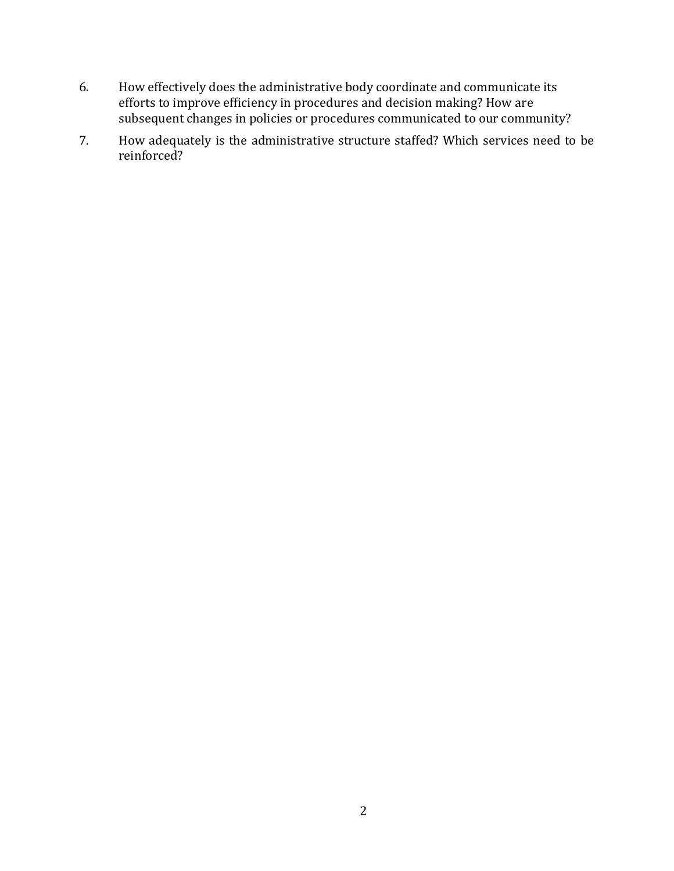- 6. How effectively does the administrative body coordinate and communicate its efforts to improve efficiency in procedures and decision making? How are subsequent changes in policies or procedures communicated to our community?
- 7. How adequately is the administrative structure staffed? Which services need to be reinforced?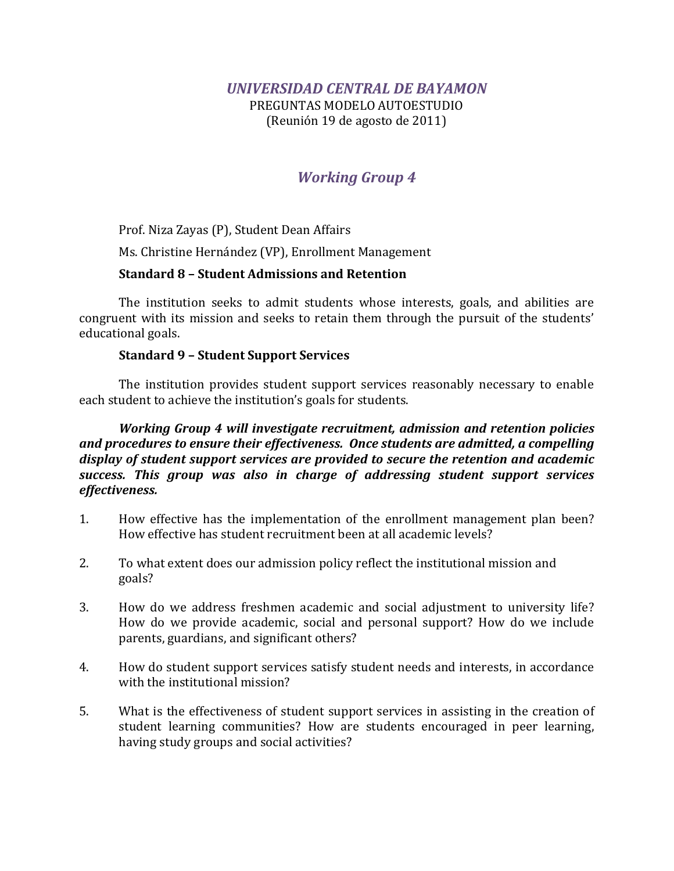PREGUNTAS MODELO AUTOESTUDIO (Reunión 19 de agosto de 2011)

# *Working Group 4*

Prof. Niza Zayas (P), Student Dean Affairs

Ms. Christine Hernández (VP), Enrollment Management

## **Standard 8 – Student Admissions and Retention**

The institution seeks to admit students whose interests, goals, and abilities are congruent with its mission and seeks to retain them through the pursuit of the students' educational goals.

### **Standard 9 – Student Support Services**

The institution provides student support services reasonably necessary to enable each student to achieve the institution's goals for students.

*Working Group 4 will investigate recruitment, admission and retention policies and procedures to ensure their effectiveness. Once students are admitted, a compelling display of student support services are provided to secure the retention and academic success. This group was also in charge of addressing student support services effectiveness.*

- 1. How effective has the implementation of the enrollment management plan been? How effective has student recruitment been at all academic levels?
- 2. To what extent does our admission policy reflect the institutional mission and goals?
- 3. How do we address freshmen academic and social adjustment to university life? How do we provide academic, social and personal support? How do we include parents, guardians, and significant others?
- 4. How do student support services satisfy student needs and interests, in accordance with the institutional mission?
- 5. What is the effectiveness of student support services in assisting in the creation of student learning communities? How are students encouraged in peer learning, having study groups and social activities?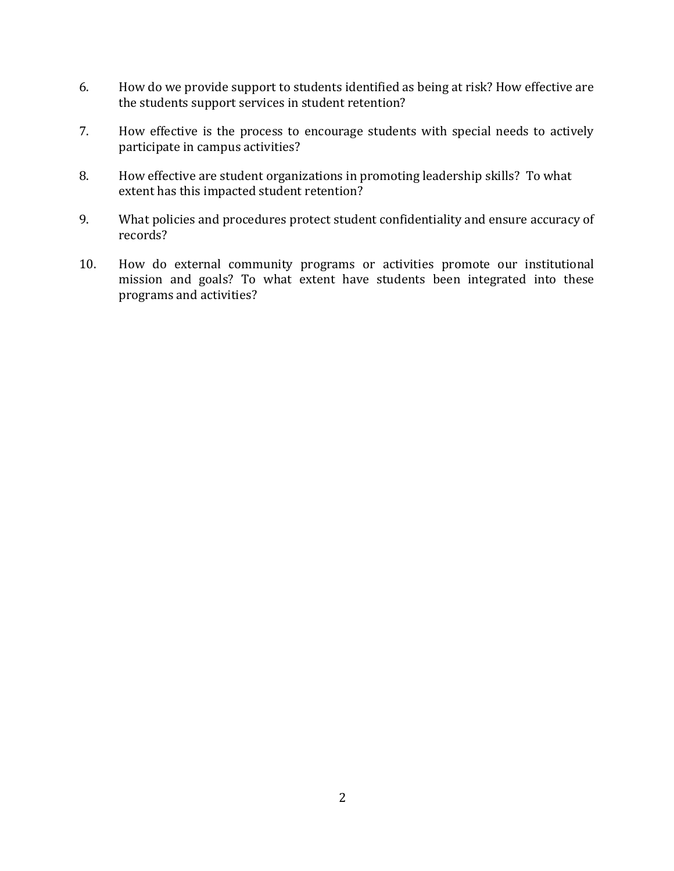- 6. How do we provide support to students identified as being at risk? How effective are the students support services in student retention?
- 7. How effective is the process to encourage students with special needs to actively participate in campus activities?
- 8. How effective are student organizations in promoting leadership skills? To what extent has this impacted student retention?
- 9. What policies and procedures protect student confidentiality and ensure accuracy of records?
- 10. How do external community programs or activities promote our institutional mission and goals? To what extent have students been integrated into these programs and activities?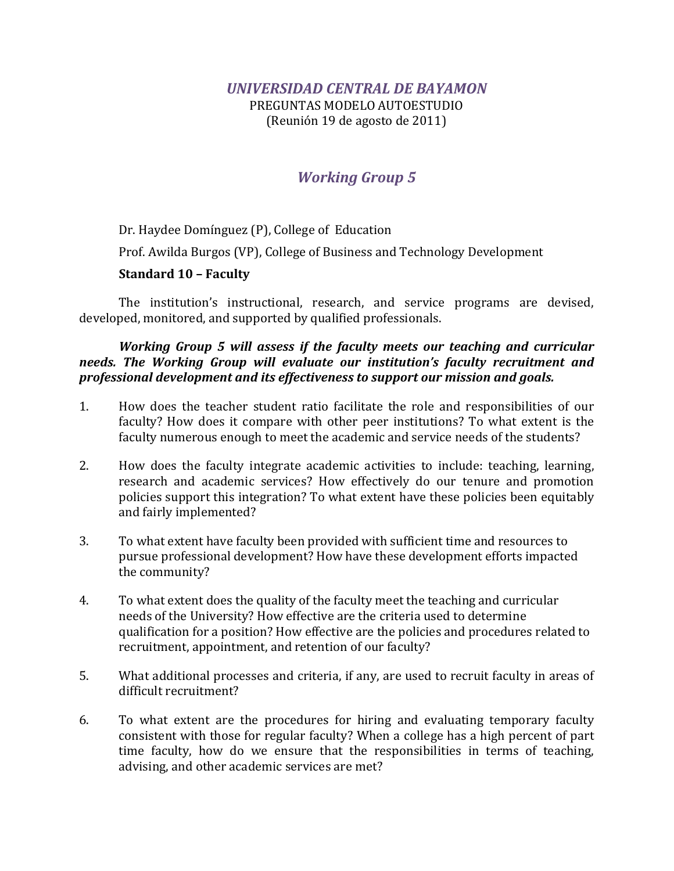PREGUNTAS MODELO AUTOESTUDIO (Reunión 19 de agosto de 2011)

# *Working Group 5*

Dr. Haydee Domínguez (P), College of Education Prof. Awilda Burgos (VP), College of Business and Technology Development **Standard 10 – Faculty**

The institution's instructional, research, and service programs are devised, developed, monitored, and supported by qualified professionals.

## *Working Group 5 will assess if the faculty meets our teaching and curricular needs. The Working Group will evaluate our institution's faculty recruitment and professional development and its effectiveness to support our mission and goals.*

- 1. How does the teacher student ratio facilitate the role and responsibilities of our faculty? How does it compare with other peer institutions? To what extent is the faculty numerous enough to meet the academic and service needs of the students?
- 2. How does the faculty integrate academic activities to include: teaching, learning, research and academic services? How effectively do our tenure and promotion policies support this integration? To what extent have these policies been equitably and fairly implemented?
- 3. To what extent have faculty been provided with sufficient time and resources to pursue professional development? How have these development efforts impacted the community?
- 4. To what extent does the quality of the faculty meet the teaching and curricular needs of the University? How effective are the criteria used to determine qualification for a position? How effective are the policies and procedures related to recruitment, appointment, and retention of our faculty?
- 5. What additional processes and criteria, if any, are used to recruit faculty in areas of difficult recruitment?
- 6. To what extent are the procedures for hiring and evaluating temporary faculty consistent with those for regular faculty? When a college has a high percent of part time faculty, how do we ensure that the responsibilities in terms of teaching, advising, and other academic services are met?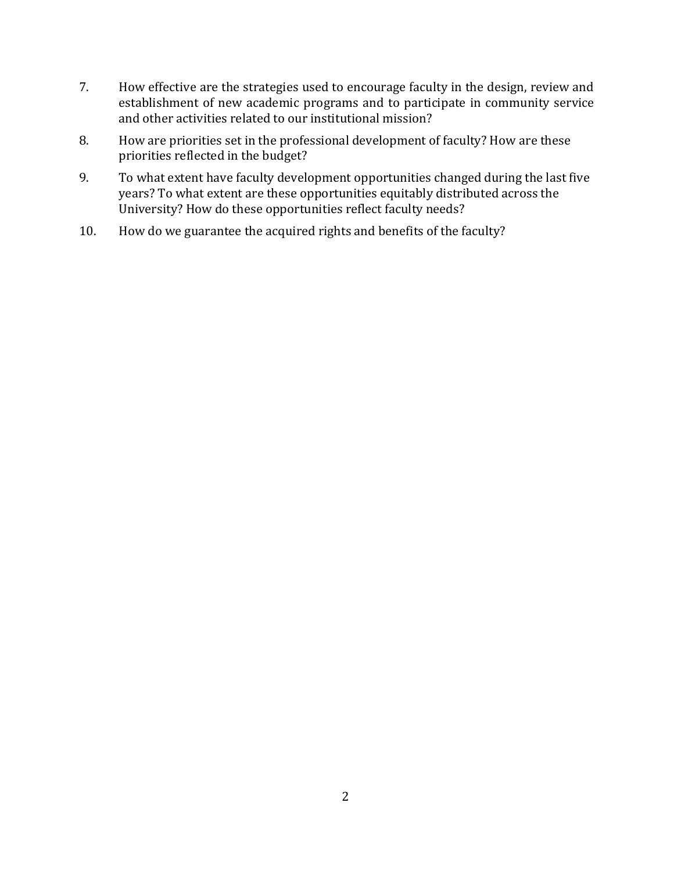- 7. How effective are the strategies used to encourage faculty in the design, review and establishment of new academic programs and to participate in community service and other activities related to our institutional mission?
- 8. How are priorities set in the professional development of faculty? How are these priorities reflected in the budget?
- 9. To what extent have faculty development opportunities changed during the last five years? To what extent are these opportunities equitably distributed across the University? How do these opportunities reflect faculty needs?
- 10. How do we guarantee the acquired rights and benefits of the faculty?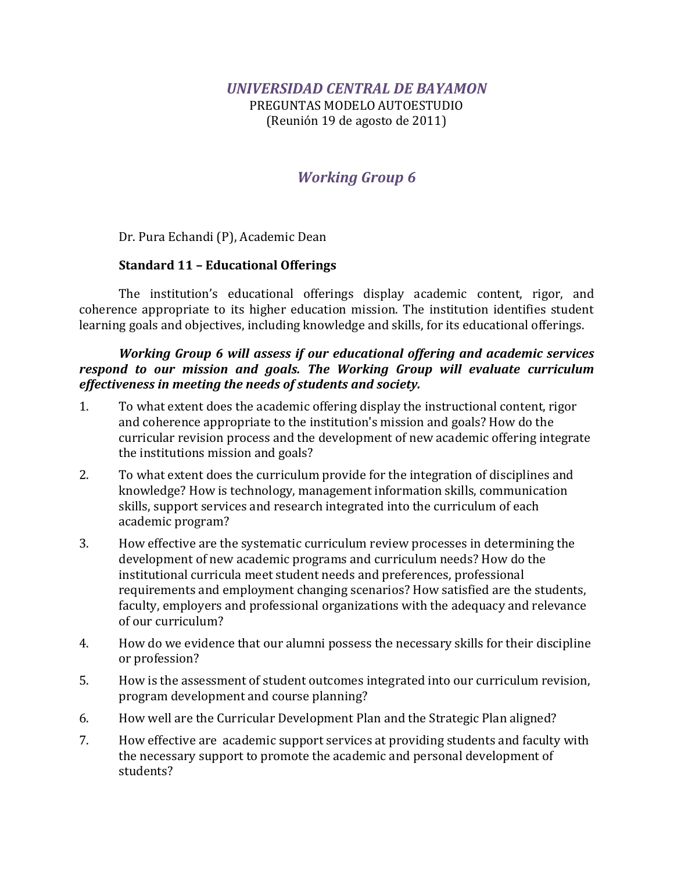PREGUNTAS MODELO AUTOESTUDIO (Reunión 19 de agosto de 2011)

# *Working Group 6*

Dr. Pura Echandi (P), Academic Dean

## **Standard 11 – Educational Offerings**

The institution's educational offerings display academic content, rigor, and coherence appropriate to its higher education mission. The institution identifies student learning goals and objectives, including knowledge and skills, for its educational offerings.

## *Working Group 6 will assess if our educational offering and academic services respond to our mission and goals. The Working Group will evaluate curriculum effectiveness in meeting the needs of students and society.*

- 1. To what extent does the academic offering display the instructional content, rigor and coherence appropriate to the institution's mission and goals? How do the curricular revision process and the development of new academic offering integrate the institutions mission and goals?
- 2. To what extent does the curriculum provide for the integration of disciplines and knowledge? How is technology, management information skills, communication skills, support services and research integrated into the curriculum of each academic program?
- 3. How effective are the systematic curriculum review processes in determining the development of new academic programs and curriculum needs? How do the institutional curricula meet student needs and preferences, professional requirements and employment changing scenarios? How satisfied are the students, faculty, employers and professional organizations with the adequacy and relevance of our curriculum?
- 4. How do we evidence that our alumni possess the necessary skills for their discipline or profession?
- 5. How is the assessment of student outcomes integrated into our curriculum revision, program development and course planning?
- 6. How well are the Curricular Development Plan and the Strategic Plan aligned?
- 7. How effective are academic support services at providing students and faculty with the necessary support to promote the academic and personal development of students?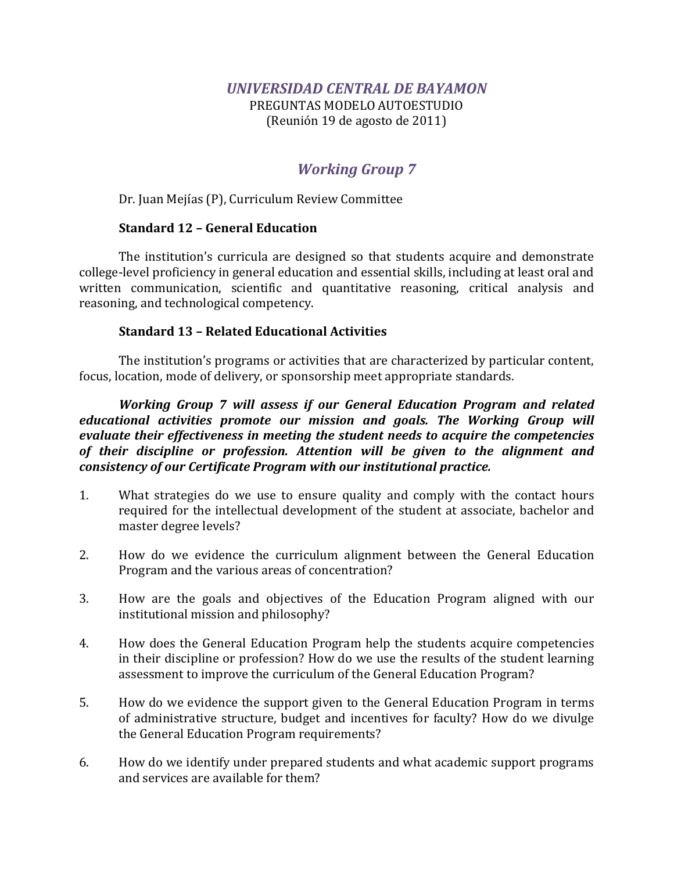PREGUNTAS MODELO AUTOESTUDIO (Reunión 19 de agosto de 2011)

# *Working Group 7*

Dr. Juan Mejías (P), Curriculum Review Committee

## **Standard 12 – General Education**

The institution's curricula are designed so that students acquire and demonstrate college-level proficiency in general education and essential skills, including at least oral and written communication, scientific and quantitative reasoning, critical analysis and reasoning, and technological competency.

### **Standard 13 – Related Educational Activities**

The institution's programs or activities that are characterized by particular content, focus, location, mode of delivery, or sponsorship meet appropriate standards.

*Working Group 7 will assess if our General Education Program and related educational activities promote our mission and goals. The Working Group will evaluate their effectiveness in meeting the student needs to acquire the competencies of their discipline or profession. Attention will be given to the alignment and consistency of our Certificate Program with our institutional practice.*

- 1. What strategies do we use to ensure quality and comply with the contact hours required for the intellectual development of the student at associate, bachelor and master degree levels?
- 2. How do we evidence the curriculum alignment between the General Education Program and the various areas of concentration?
- 3. How are the goals and objectives of the Education Program aligned with our institutional mission and philosophy?
- 4. How does the General Education Program help the students acquire competencies in their discipline or profession? How do we use the results of the student learning assessment to improve the curriculum of the General Education Program?
- 5. How do we evidence the support given to the General Education Program in terms of administrative structure, budget and incentives for faculty? How do we divulge the General Education Program requirements?
- 6. How do we identify under prepared students and what academic support programs and services are available for them?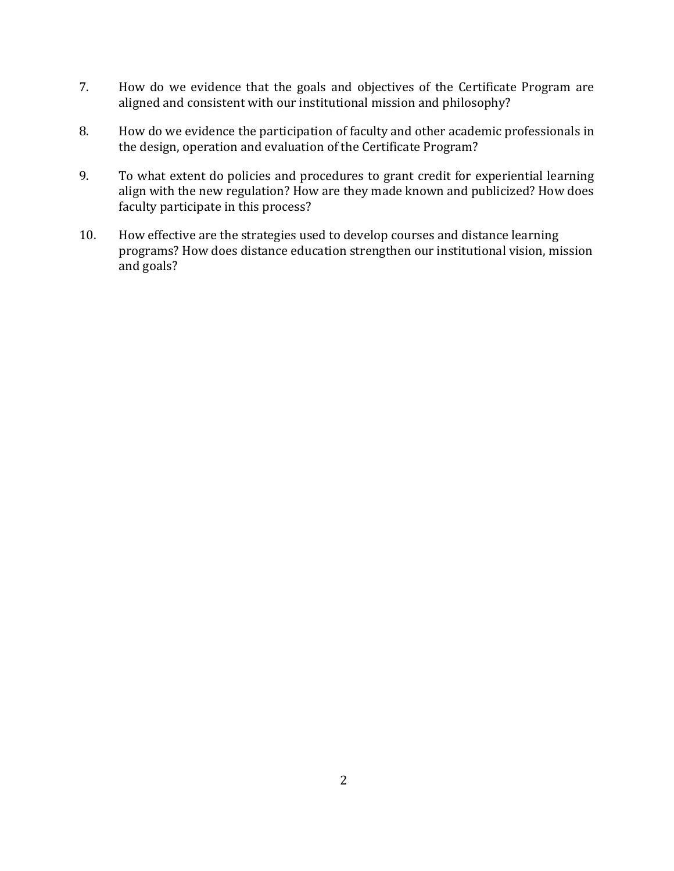- 7. How do we evidence that the goals and objectives of the Certificate Program are aligned and consistent with our institutional mission and philosophy?
- 8. How do we evidence the participation of faculty and other academic professionals in the design, operation and evaluation of the Certificate Program?
- 9. To what extent do policies and procedures to grant credit for experiential learning align with the new regulation? How are they made known and publicized? How does faculty participate in this process?
- 10. How effective are the strategies used to develop courses and distance learning programs? How does distance education strengthen our institutional vision, mission and goals?